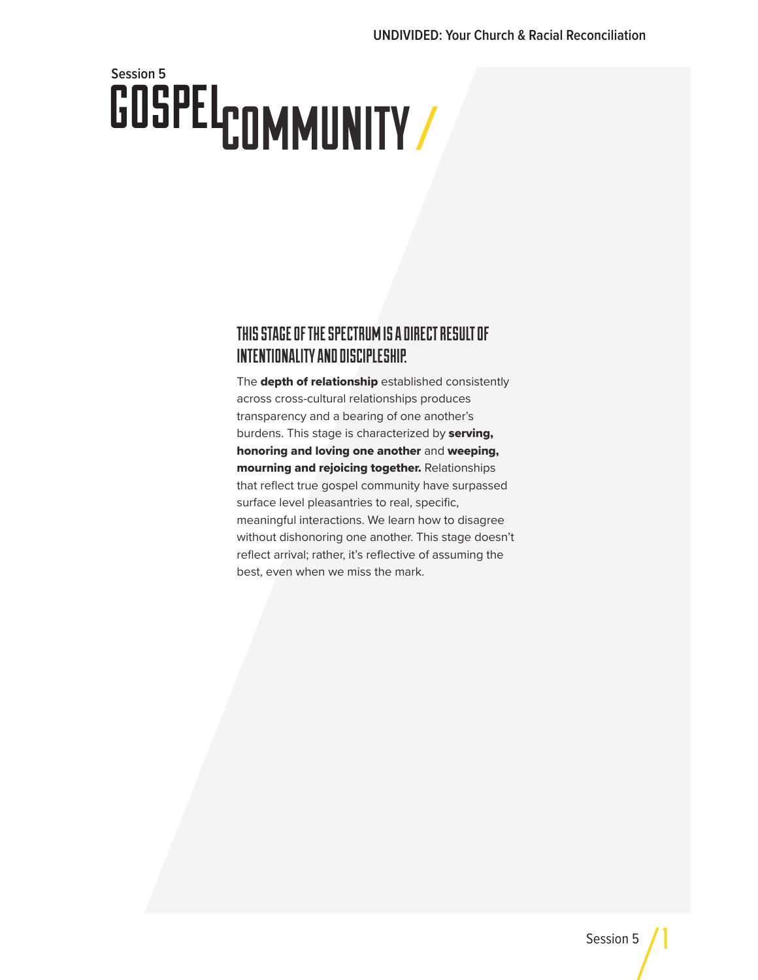# GOSPEL<sub>COMMUNITY</sub> **Session 5**

### THIS STAGE OF THE SPECTRUM IS A DIRECT RESULT OF INTENTIONALITY AND DISCIPLESHIP.

The depth of relationship established consistently across cross-cultural relationships produces transparency and a bearing of one another's burdens. This stage is characterized by serving, honoring and loving one another and weeping, mourning and rejoicing together. Relationships that reflect true gospel community have surpassed surface level pleasantries to real, specific, meaningful interactions. We learn how to disagree without dishonoring one another. This stage doesn't reflect arrival; rather, it's reflective of assuming the best, even when we miss the mark.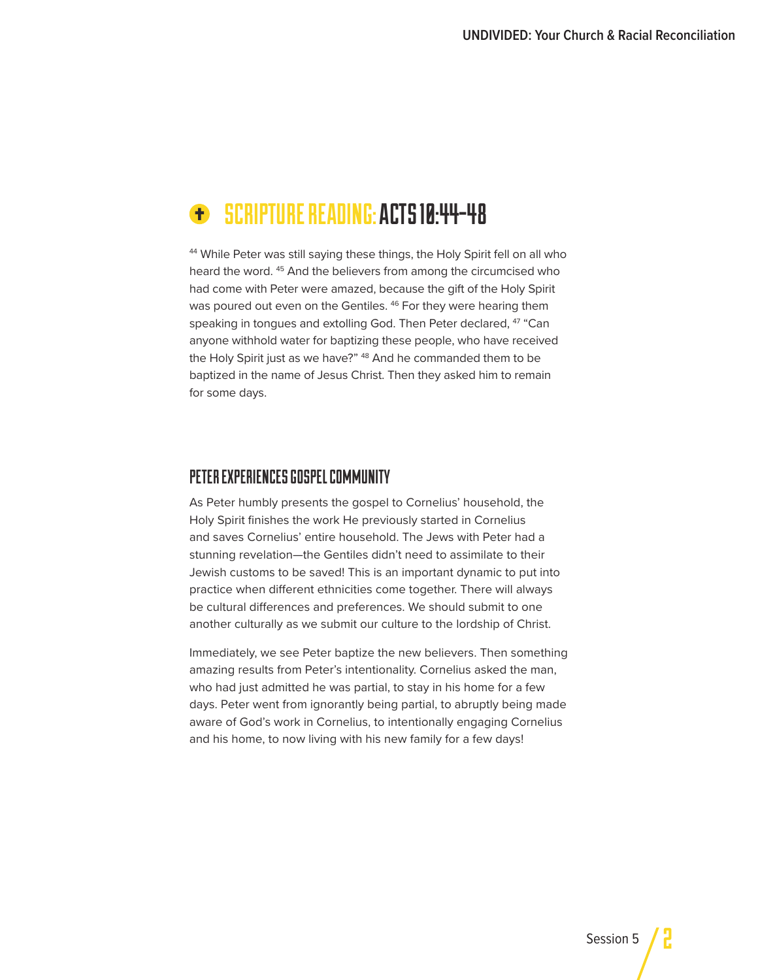#### SCRIPTURE READING: ACTS 10:44-48  $\bullet$

<sup>44</sup> While Peter was still saying these things, the Holy Spirit fell on all who heard the word.<sup>45</sup> And the believers from among the circumcised who had come with Peter were amazed, because the gift of the Holy Spirit was poured out even on the Gentiles. <sup>46</sup> For they were hearing them speaking in tongues and extolling God. Then Peter declared, <sup>47</sup> "Can anyone withhold water for baptizing these people, who have received the Holy Spirit just as we have?" <sup>48</sup> And he commanded them to be baptized in the name of Jesus Christ. Then they asked him to remain for some days.

#### PETER EXPERIENCES GOSPEL COMMUNITY

As Peter humbly presents the gospel to Cornelius' household, the Holy Spirit finishes the work He previously started in Cornelius and saves Cornelius' entire household. The Jews with Peter had a stunning revelation—the Gentiles didn't need to assimilate to their Jewish customs to be saved! This is an important dynamic to put into practice when different ethnicities come together. There will always be cultural differences and preferences. We should submit to one another culturally as we submit our culture to the lordship of Christ.

Immediately, we see Peter baptize the new believers. Then something amazing results from Peter's intentionality. Cornelius asked the man, who had just admitted he was partial, to stay in his home for a few days. Peter went from ignorantly being partial, to abruptly being made aware of God's work in Cornelius, to intentionally engaging Cornelius and his home, to now living with his new family for a few days!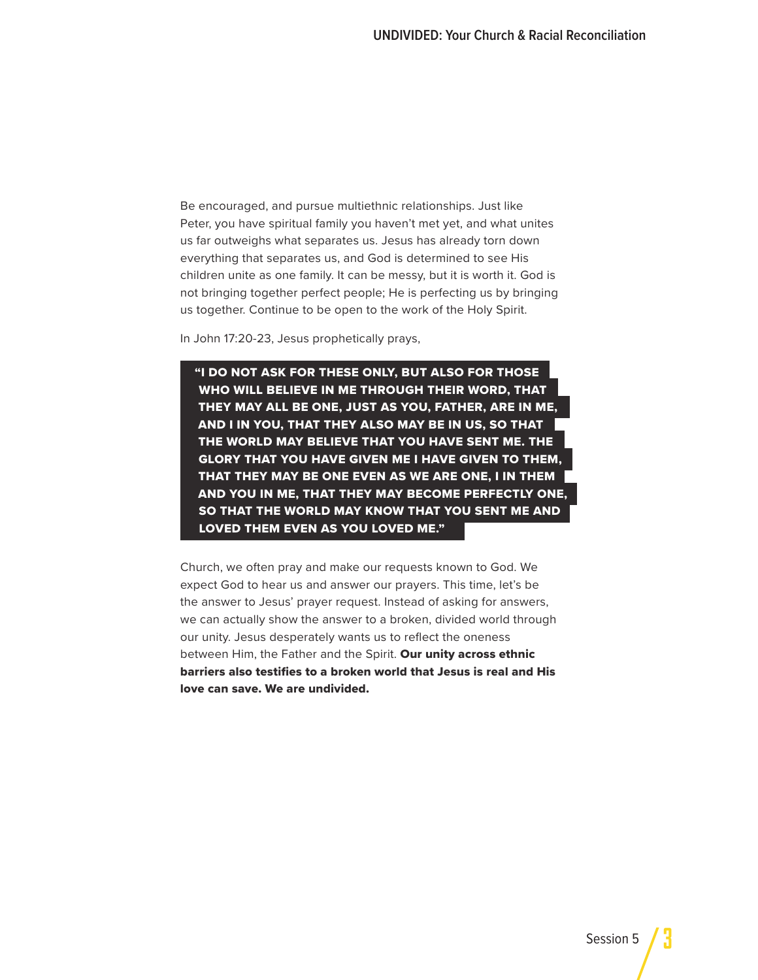Be encouraged, and pursue multiethnic relationships. Just like Peter, you have spiritual family you haven't met yet, and what unites us far outweighs what separates us. Jesus has already torn down everything that separates us, and God is determined to see His children unite as one family. It can be messy, but it is worth it. God is not bringing together perfect people; He is perfecting us by bringing us together. Continue to be open to the work of the Holy Spirit.

In John 17:20-23, Jesus prophetically prays,

"I DO NOT ASK FOR THESE ONLY, BUT ALSO FOR THOSE WHO WILL BELIEVE IN ME THROUGH THEIR WORD, THAT THEY MAY ALL BE ONE, JUST AS YOU, FATHER, ARE IN ME, AND I IN YOU, THAT THEY ALSO MAY BE IN US, SO THAT THE WORLD MAY BELIEVE THAT YOU HAVE SENT ME. THE GLORY THAT YOU HAVE GIVEN ME I HAVE GIVEN TO THEM, THAT THEY MAY BE ONE EVEN AS WE ARE ONE, I IN THEM AND YOU IN ME, THAT THEY MAY BECOME PERFECTLY ONE, SO THAT THE WORLD MAY KNOW THAT YOU SENT ME AND LOVED THEM EVEN AS YOU LOVED ME."

Church, we often pray and make our requests known to God. We expect God to hear us and answer our prayers. This time, let's be the answer to Jesus' prayer request. Instead of asking for answers, we can actually show the answer to a broken, divided world through our unity. Jesus desperately wants us to reflect the oneness between Him, the Father and the Spirit. Our unity across ethnic barriers also testifies to a broken world that Jesus is real and His love can save. We are undivided.